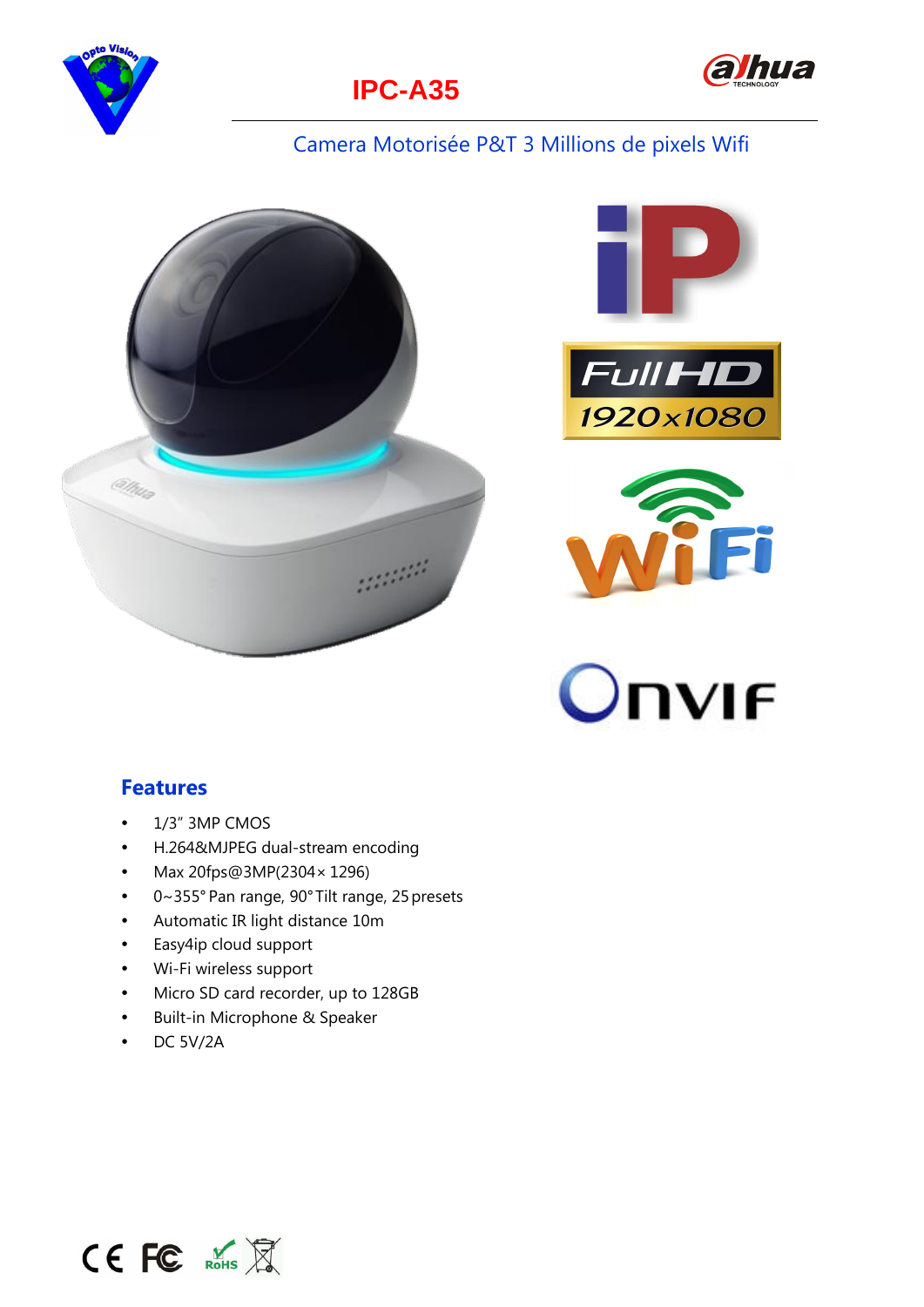





#### Camera Motorisée P&T 3 Millions de pixels Wifi











#### **Features**

- $\bullet$ 1/3" 3MP CMOS
- $\bullet$ H.264&MJPEG dual-stream encoding
- $\bullet$ Max 20fps@3MP(2304× 1296)
- $\bullet$ 0~355° Pan range, 90°Tilt range, 25 presets
- $\bullet$ Automatic IR light distance 10m
- $\bullet$ Easy4ip cloud support
- $\bullet$ Wi-Fi wireless support
- $\bullet$ Micro SD card recorder, up to 128GB
- $\bullet$ Built-in Microphone & Speaker
- $\bullet$ DC 5V/2A

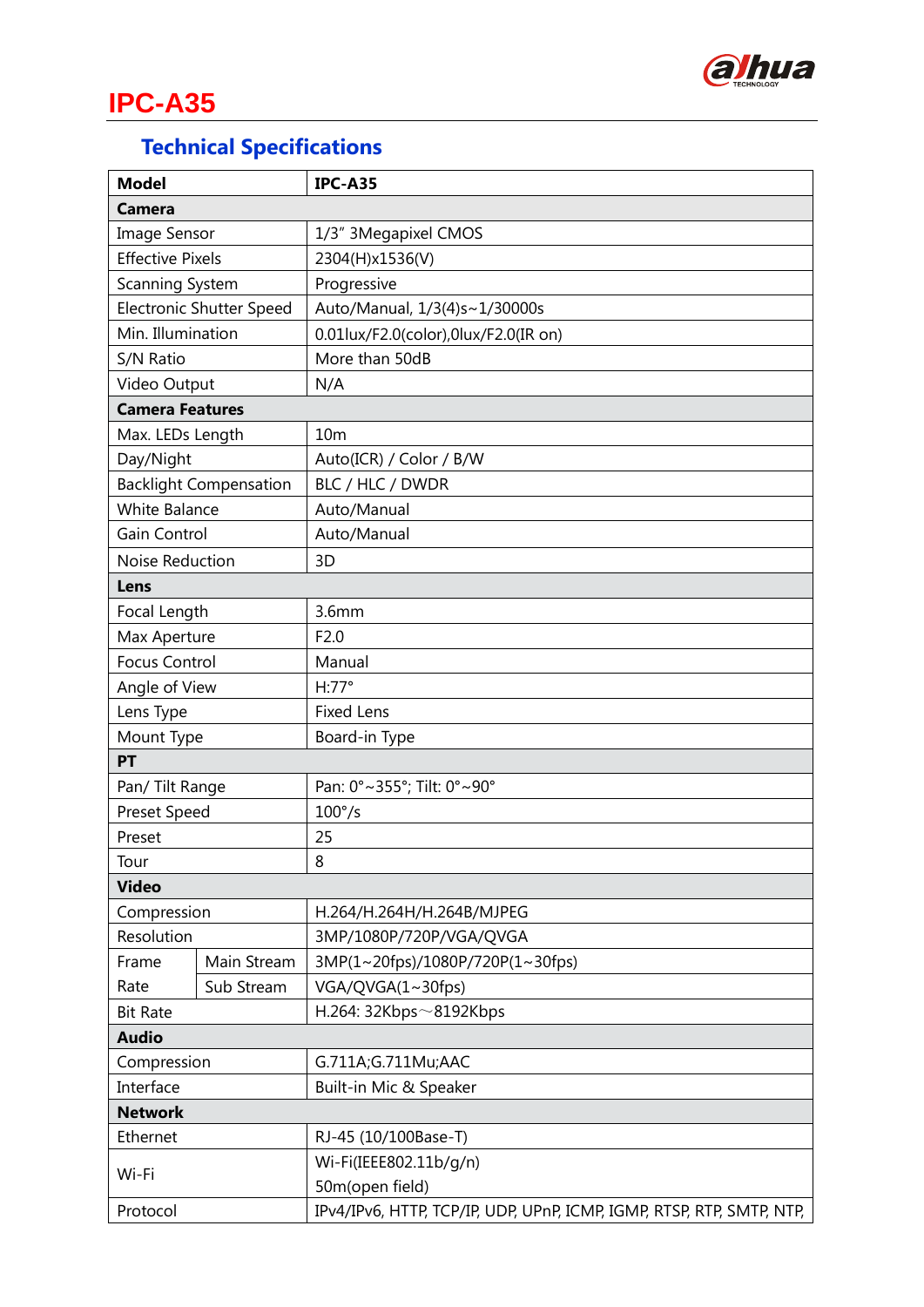

# **IPC-A35**

### **Technical Specifications**

| <b>Model</b>                    |             | <b>IPC-A35</b>                                                        |  |
|---------------------------------|-------------|-----------------------------------------------------------------------|--|
| <b>Camera</b>                   |             |                                                                       |  |
| <b>Image Sensor</b>             |             | 1/3" 3Megapixel CMOS                                                  |  |
| <b>Effective Pixels</b>         |             | 2304(H)x1536(V)                                                       |  |
| Scanning System                 |             | Progressive                                                           |  |
| <b>Electronic Shutter Speed</b> |             | Auto/Manual, 1/3(4)s~1/30000s                                         |  |
| Min. Illumination               |             | 0.01lux/F2.0(color),0lux/F2.0(IR on)                                  |  |
| S/N Ratio                       |             | More than 50dB                                                        |  |
| Video Output                    |             | N/A                                                                   |  |
| <b>Camera Features</b>          |             |                                                                       |  |
| Max. LEDs Length                |             | 10 <sub>m</sub>                                                       |  |
| Day/Night                       |             | Auto(ICR) / Color / B/W                                               |  |
| <b>Backlight Compensation</b>   |             | BLC / HLC / DWDR                                                      |  |
| <b>White Balance</b>            |             | Auto/Manual                                                           |  |
| Gain Control                    |             | Auto/Manual                                                           |  |
| Noise Reduction                 |             | 3D                                                                    |  |
| Lens                            |             |                                                                       |  |
| Focal Length                    |             | 3.6 <sub>mm</sub>                                                     |  |
| Max Aperture                    |             | F2.0                                                                  |  |
| <b>Focus Control</b>            |             | Manual                                                                |  |
| Angle of View                   |             | $H:77^{\circ}$                                                        |  |
| Lens Type                       |             | <b>Fixed Lens</b>                                                     |  |
| Mount Type                      |             | Board-in Type                                                         |  |
| PT                              |             |                                                                       |  |
| Pan/ Tilt Range                 |             | Pan: 0°~355°; Tilt: 0°~90°                                            |  |
| <b>Preset Speed</b>             |             | $100^{\circ}/s$                                                       |  |
| Preset                          |             | 25                                                                    |  |
| Tour                            |             | 8                                                                     |  |
| <b>Video</b>                    |             |                                                                       |  |
| Compression                     |             | H.264/H.264H/H.264B/MJPEG                                             |  |
| Resolution                      |             | 3MP/1080P/720P/VGA/QVGA                                               |  |
| Frame                           | Main Stream | 3MP(1~20fps)/1080P/720P(1~30fps)                                      |  |
| Rate                            | Sub Stream  | VGA/QVGA(1~30fps)                                                     |  |
| <b>Bit Rate</b>                 |             | H.264: 32Kbps~8192Kbps                                                |  |
| <b>Audio</b>                    |             |                                                                       |  |
| Compression                     |             | G.711A;G.711Mu;AAC                                                    |  |
| Interface                       |             | Built-in Mic & Speaker                                                |  |
| <b>Network</b>                  |             |                                                                       |  |
| Ethernet                        |             | RJ-45 (10/100Base-T)                                                  |  |
|                                 |             | Wi-Fi(IEEE802.11b/g/n)                                                |  |
| Wi-Fi                           |             | 50m(open field)                                                       |  |
| Protocol                        |             | IPv4/IPv6, HTTP, TCP/IP, UDP, UPnP, ICMP, IGMP, RTSP, RTP, SMTP, NTP, |  |